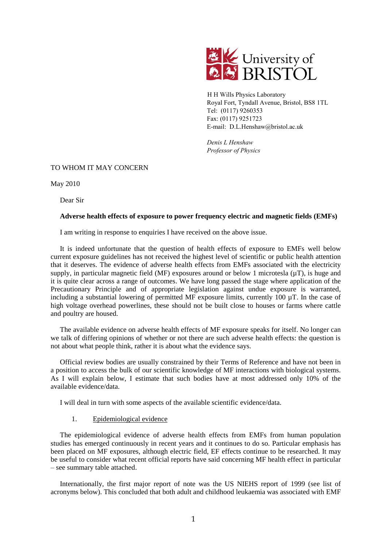

H H Wills Physics Laboratory Royal Fort, Tyndall Avenue, Bristol, BS8 1TL Tel: (0117) 9260353 Fax: (0117) 9251723 E-mail: D.L.Henshaw@bristol.ac.uk

*Denis L Henshaw Professor of Physics* 

# TO WHOM IT MAY CONCERN

May 2010

Dear Sir

# **Adverse health effects of exposure to power frequency electric and magnetic fields (EMFs)**

I am writing in response to enquiries I have received on the above issue.

It is indeed unfortunate that the question of health effects of exposure to EMFs well below current exposure guidelines has not received the highest level of scientific or public health attention that it deserves. The evidence of adverse health effects from EMFs associated with the electricity supply, in particular magnetic field (MF) exposures around or below 1 microtesla  $(\mu T)$ , is huge and it is quite clear across a range of outcomes. We have long passed the stage where application of the Precautionary Principle and of appropriate legislation against undue exposure is warranted, including a substantial lowering of permitted MF exposure limits, currently 100 µT. In the case of high voltage overhead powerlines, these should not be built close to houses or farms where cattle and poultry are housed.

The available evidence on adverse health effects of MF exposure speaks for itself. No longer can we talk of differing opinions of whether or not there are such adverse health effects: the question is not about what people think, rather it is about what the evidence says.

Official review bodies are usually constrained by their Terms of Reference and have not been in a position to access the bulk of our scientific knowledge of MF interactions with biological systems. As I will explain below, I estimate that such bodies have at most addressed only 10% of the available evidence/data.

I will deal in turn with some aspects of the available scientific evidence/data.

# 1. Epidemiological evidence

The epidemiological evidence of adverse health effects from EMFs from human population studies has emerged continuously in recent years and it continues to do so. Particular emphasis has been placed on MF exposures, although electric field, EF effects continue to be researched. It may be useful to consider what recent official reports have said concerning MF health effect in particular – see summary table attached.

Internationally, the first major report of note was the US NIEHS report of 1999 (see list of acronyms below). This concluded that both adult and childhood leukaemia was associated with EMF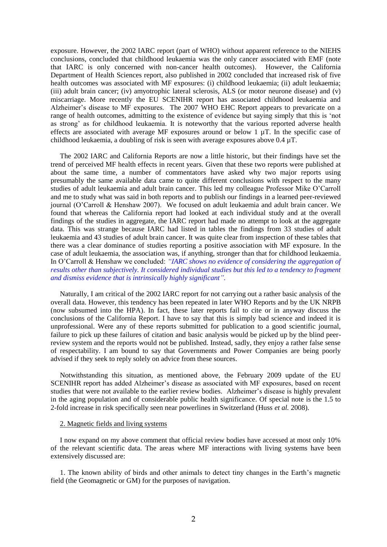exposure. However, the 2002 IARC report (part of WHO) without apparent reference to the NIEHS conclusions, concluded that childhood leukaemia was the only cancer associated with EMF (note that IARC is only concerned with non-cancer health outcomes). However, the California Department of Health Sciences report, also published in 2002 concluded that increased risk of five health outcomes was associated with MF exposures: (i) childhood leukaemia; (ii) adult leukaemia; (iii) adult brain cancer; (iv) amyotrophic lateral sclerosis, ALS (or motor neurone disease) and (v) miscarriage. More recently the EU SCENIHR report has associated childhood leukaemia and Alzheimer's disease to MF exposures. The 2007 WHO EHC Report appears to prevaricate on a range of health outcomes, admitting to the existence of evidence but saying simply that this is 'not as strong' as for childhood leukaemia. It is noteworthy that the various reported adverse health effects are associated with average MF exposures around or below 1 µT. In the specific case of childhood leukaemia, a doubling of risk is seen with average exposures above 0.4 µT.

The 2002 IARC and California Reports are now a little historic, but their findings have set the trend of perceived MF health effects in recent years. Given that these two reports were published at about the same time, a number of commentators have asked why two major reports using presumably the same available data came to quite different conclusions with respect to the many studies of adult leukaemia and adult brain cancer. This led my colleague Professor Mike O'Carroll and me to study what was said in both reports and to publish our findings in a learned peer-reviewed journal (O'Carroll & Henshaw 2007). We focused on adult leukaemia and adult brain cancer. We found that whereas the California report had looked at each individual study and at the overall findings of the studies in aggregate, the IARC report had made no attempt to look at the aggregate data. This was strange because IARC had listed in tables the findings from 33 studies of adult leukaemia and 43 studies of adult brain cancer. It was quite clear from inspection of these tables that there was a clear dominance of studies reporting a positive association with MF exposure. In the case of adult leukaemia, the association was, if anything, stronger than that for childhood leukaemia. In O'Carroll & Henshaw we concluded: *"IARC shows no evidence of considering the aggregation of results other than subjectively. It considered individual studies but this led to a tendency to fragment and dismiss evidence that is intrinsically highly significant".*

Naturally, I am critical of the 2002 IARC report for not carrying out a rather basic analysis of the overall data. However, this tendency has been repeated in later WHO Reports and by the UK NRPB (now subsumed into the HPA). In fact, these later reports fail to cite or in anyway discuss the conclusions of the California Report. I have to say that this is simply bad science and indeed it is unprofessional. Were any of these reports submitted for publication to a good scientific journal, failure to pick up these failures of citation and basic analysis would be picked up by the blind peerreview system and the reports would not be published. Instead, sadly, they enjoy a rather false sense of respectability. I am bound to say that Governments and Power Companies are being poorly advised if they seek to reply solely on advice from these sources.

Notwithstanding this situation, as mentioned above, the February 2009 update of the EU SCENIHR report has added Alzheimer's disease as associated with MF exposures, based on recent studies that were not available to the earlier review bodies. Alzheimer's disease is highly prevalent in the aging population and of considerable public health significance. Of special note is the 1.5 to 2-fold increase in risk specifically seen near powerlines in Switzerland (Huss *et al.* 2008).

# 2. Magnetic fields and living systems

I now expand on my above comment that official review bodies have accessed at most only 10% of the relevant scientific data. The areas where MF interactions with living systems have been extensively discussed are:

1. The known ability of birds and other animals to detect tiny changes in the Earth's magnetic field (the Geomagnetic or GM) for the purposes of navigation.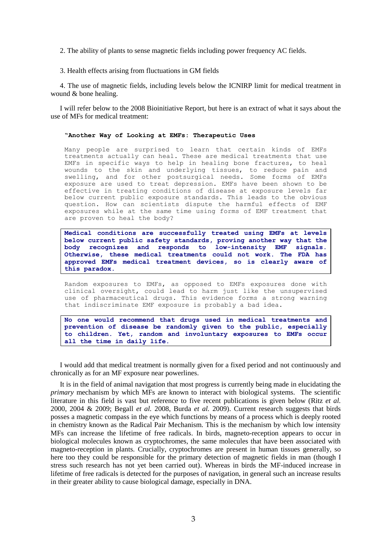2. The ability of plants to sense magnetic fields including power frequency AC fields.

3. Health effects arising from fluctuations in GM fields

4. The use of magnetic fields, including levels below the ICNIRP limit for medical treatment in wound & bone healing.

I will refer below to the 2008 Bioinitiative Report, but here is an extract of what it says about the use of MFs for medical treatment:

#### **"Another Way of Looking at EMFs: Therapeutic Uses**

Many people are surprised to learn that certain kinds of EMFs treatments actually can heal. These are medical treatments that use EMFs in specific ways to help in healing bone fractures, to heal wounds to the skin and underlying tissues, to reduce pain and swelling, and for other postsurgical needs. Some forms of EMFs exposure are used to treat depression. EMFs have been shown to be effective in treating conditions of disease at exposure levels far below current public exposure standards. This leads to the obvious question. How can scientists dispute the harmful effects of EMF exposures while at the same time using forms of EMF treatment that are proven to heal the body?

**Medical conditions are successfully treated using EMFs at levels below current public safety standards, proving another way that the body recognizes and responds to low-intensity EMF signals. Otherwise, these medical treatments could not work. The FDA has approved EMFs medical treatment devices, so is clearly aware of this paradox.**

Random exposures to EMFs, as opposed to EMFs exposures done with clinical oversight, could lead to harm just like the unsupervised use of pharmaceutical drugs. This evidence forms a strong warning that indiscriminate EMF exposure is probably a bad idea.

**No one would recommend that drugs used in medical treatments and prevention of disease be randomly given to the public, especially to children. Yet, random and involuntary exposures to EMFs occur all the time in daily life.**

I would add that medical treatment is normally given for a fixed period and not continuously and chronically as for an MF exposure near powerlines.

It is in the field of animal navigation that most progress is currently being made in elucidating the *primary* mechanism by which MFs are known to interact with biological systems. The scientific literature in this field is vast but reference to five recent publications is given below (Ritz *et al.* 2000, 2004 & 2009; Begall *et al.* 2008, Burda *et al.* 2009). Current research suggests that birds posses a magnetic compass in the eye which functions by means of a process which is deeply rooted in chemistry known as the Radical Pair Mechanism. This is the mechanism by which low intensity MFs can increase the lifetime of free radicals. In birds, magneto-reception appears to occur in biological molecules known as cryptochromes, the same molecules that have been associated with magneto-reception in plants. Crucially, cryptochromes are present in human tissues generally, so here too they could be responsible for the primary detection of magnetic fields in man (though I stress such research has not yet been carried out). Whereas in birds the MF-induced increase in lifetime of free radicals is detected for the purposes of navigation, in general such an increase results in their greater ability to cause biological damage, especially in DNA.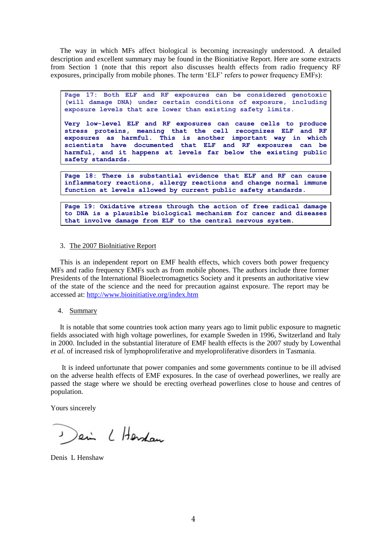The way in which MFs affect biological is becoming increasingly understood. A detailed description and excellent summary may be found in the Bionitiative Report. Here are some extracts from Section 1 (note that this report also discusses health effects from radio frequency RF exposures, principally from mobile phones. The term 'ELF' refers to power frequency EMFs):

**Page 17: Both ELF and RF exposures can be considered genotoxic (will damage DNA) under certain conditions of exposure, including exposure levels that are lower than existing safety limits.**

**Very low-level ELF and RF exposures can cause cells to produce stress proteins, meaning that the cell recognizes ELF and RF exposures as harmful. This is another important way in which scientists have documented that ELF and RF exposures can be harmful, and it happens at levels far below the existing public safety standards.**

**Page 18: There is substantial evidence that ELF and RF can cause inflammatory reactions, allergy reactions and change normal immune function at levels allowed by current public safety standards.**

**Page 19: Oxidative stress through the action of free radical damage to DNA is a plausible biological mechanism for cancer and diseases that involve damage from ELF to the central nervous system.**

# 3. The 2007 BioInitiative Report

This is an independent report on EMF health effects, which covers both power frequency MFs and radio frequency EMFs such as from mobile phones. The authors include three former Presidents of the International Bioelectromagnetics Society and it presents an authoritative view of the state of the science and the need for precaution against exposure. The report may be accessed at:<http://www.bioinitiative.org/index.htm>

4. Summary

It is notable that some countries took action many years ago to limit public exposure to magnetic fields associated with high voltage powerlines, for example Sweden in 1996, Switzerland and Italy in 2000. Included in the substantial literature of EMF health effects is the 2007 study by Lowenthal *et al.* of increased risk of lymphoproliferative and myeloproliferative disorders in Tasmania.

It is indeed unfortunate that power companies and some governments continue to be ill advised on the adverse health effects of EMF exposures. In the case of overhead powerlines, we really are passed the stage where we should be erecting overhead powerlines close to house and centres of population.

Yours sincerely

Dein L Hersdam

Denis L Henshaw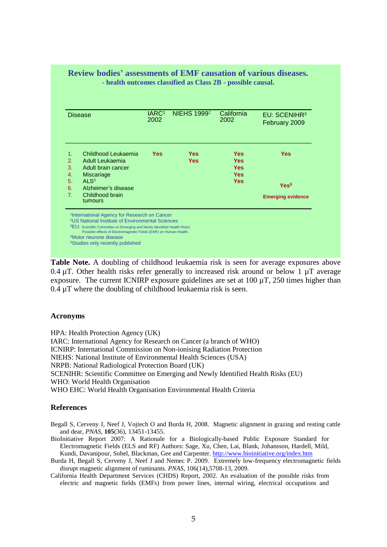| <b>Disease</b>              |                                                   | IARC <sup>1</sup><br>2002 | <b>NIEHS 19992</b>       | California<br>2002       | EU: SCENIHR <sup>3</sup><br>February 2009 |
|-----------------------------|---------------------------------------------------|---------------------------|--------------------------|--------------------------|-------------------------------------------|
| 1.<br>$\mathcal{P}_{\cdot}$ | Childhood Leukaemia<br>Adult Leukaemia            | Yes                       | <b>Yes</b><br><b>Yes</b> | <b>Yes</b><br><b>Yes</b> | <b>Yes</b>                                |
| 3.<br>4.                    | Adult brain cancer<br><b>Miscariage</b>           |                           |                          | <b>Yes</b><br><b>Yes</b> |                                           |
| 5.                          | AI $S4$                                           |                           |                          | <b>Yes</b>               | Yes <sup>5</sup>                          |
| 6.<br>7 <sub>1</sub>        | Alzheimer's disease<br>Childhood brain<br>tumours |                           |                          |                          | <b>Emerging evidence</b>                  |

**Table Note.** A doubling of childhood leukaemia risk is seen for average exposures above 0.4  $\mu$ T. Other health risks refer generally to increased risk around or below 1  $\mu$ T average exposure. The current ICNIRP exposure guidelines are set at 100 µT, 250 times higher than  $0.4 \mu$ T where the doubling of childhood leukaemia risk is seen.

# **Acronyms**

HPA: Health Protection Agency (UK) IARC: International Agency for Research on Cancer (a branch of WHO) ICNIRP: International Commission on Non-ionising Radiation Protection NIEHS: National Institute of Environmental Health Sciences (USA) NRPB: National Radiological Protection Board (UK) SCENIHR: Scientific Committee on Emerging and Newly Identified Health Risks (EU) WHO: World Health Organisation WHO EHC: World Health Organisation Environmental Health Criteria

# **References**

Begall S, Cerveny J, Neef J, Vojtech O and Burda H, 2008. Magnetic alignment in grazing and resting cattle and dear, *PNAS,* **105**(36), 13451-13455.

- BioInitiative Report 2007: A Rationale for a Biologically-based Public Exposure Standard for Electromagnetic Fields (ELS and RF) Authors: Sage, Xu, Chen, Lai, Blank, Johansson, Hardell, Mild, Kundi, Davanipour, Sobel, Blackman, Gee and Carpenter.<http://www.bioinitiative.org/index.htm>
- Burda H, Begall S, Cerveny J, Neef J and Nemec P. 2009. Extremely low-frequency electromagnetic fields disrupt magnetic alignment of ruminants. *PNAS*, 106(14),5708-13, 2009*.*
- California Health Department Services (CHDS) Report, 2002. An evaluation of the possible risks from electric and magnetic fields (EMFs) from power lines, internal wiring, electrical occupations and